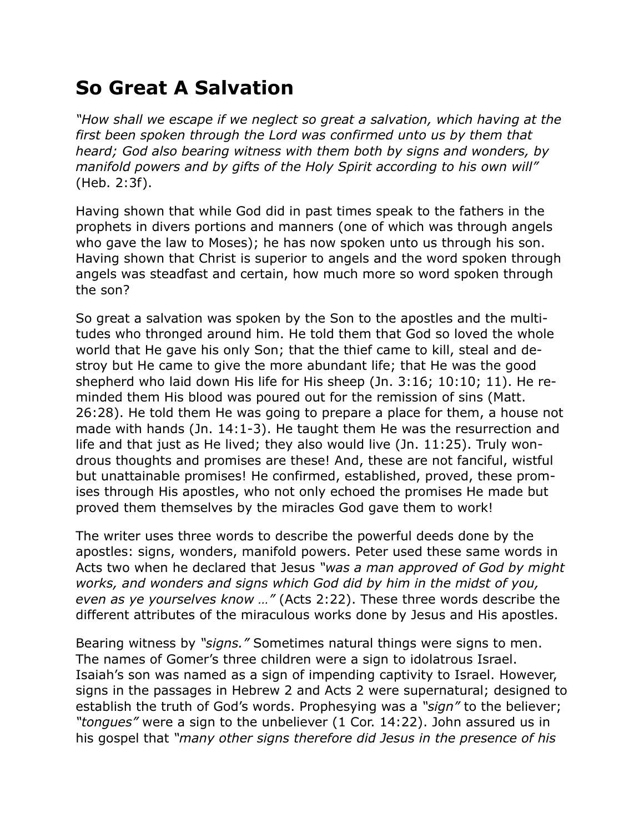## **So Great A Salvation**

*"How shall we escape if we neglect so great a salvation, which having at the first been spoken through the Lord was confirmed unto us by them that heard; God also bearing witness with them both by signs and wonders, by manifold powers and by gifts of the Holy Spirit according to his own will"* (Heb. 2:3f).

Having shown that while God did in past times speak to the fathers in the prophets in divers portions and manners (one of which was through angels who gave the law to Moses); he has now spoken unto us through his son. Having shown that Christ is superior to angels and the word spoken through angels was steadfast and certain, how much more so word spoken through the son?

So great a salvation was spoken by the Son to the apostles and the multitudes who thronged around him. He told them that God so loved the whole world that He gave his only Son; that the thief came to kill, steal and destroy but He came to give the more abundant life; that He was the good shepherd who laid down His life for His sheep (Jn. 3:16; 10:10; 11). He reminded them His blood was poured out for the remission of sins (Matt. 26:28). He told them He was going to prepare a place for them, a house not made with hands (Jn. 14:1-3). He taught them He was the resurrection and life and that just as He lived; they also would live (Jn. 11:25). Truly wondrous thoughts and promises are these! And, these are not fanciful, wistful but unattainable promises! He confirmed, established, proved, these promises through His apostles, who not only echoed the promises He made but proved them themselves by the miracles God gave them to work!

The writer uses three words to describe the powerful deeds done by the apostles: signs, wonders, manifold powers. Peter used these same words in Acts two when he declared that Jesus *"was a man approved of God by might works, and wonders and signs which God did by him in the midst of you, even as ye yourselves know …"* (Acts 2:22). These three words describe the different attributes of the miraculous works done by Jesus and His apostles.

Bearing witness by *"signs."* Sometimes natural things were signs to men. The names of Gomer's three children were a sign to idolatrous Israel. Isaiah's son was named as a sign of impending captivity to Israel. However, signs in the passages in Hebrew 2 and Acts 2 were supernatural; designed to establish the truth of God's words. Prophesying was a *"sign"* to the believer; *"tongues"* were a sign to the unbeliever (1 Cor. 14:22). John assured us in his gospel that *"many other signs therefore did Jesus in the presence of his*